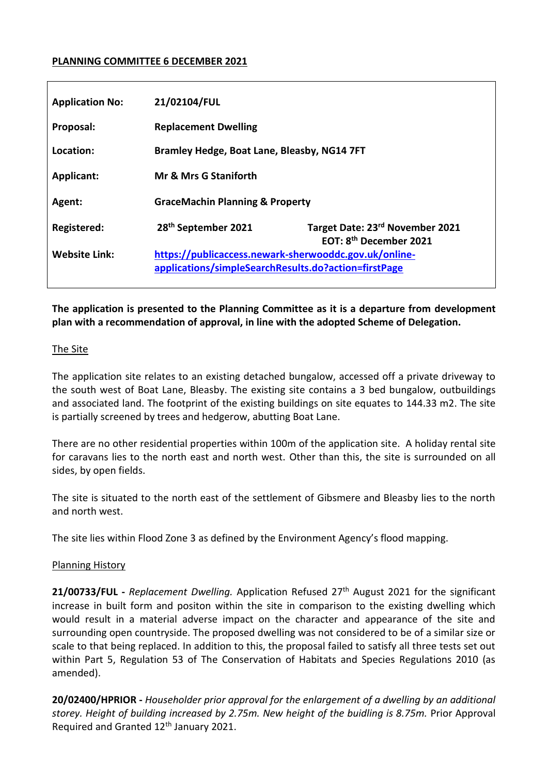## **PLANNING COMMITTEE 6 DECEMBER 2021**

| <b>Application No:</b> | 21/02104/FUL                                                                                                  |                                                                       |  |  |  |
|------------------------|---------------------------------------------------------------------------------------------------------------|-----------------------------------------------------------------------|--|--|--|
| Proposal:              | <b>Replacement Dwelling</b>                                                                                   |                                                                       |  |  |  |
| Location:              | Bramley Hedge, Boat Lane, Bleasby, NG14 7FT                                                                   |                                                                       |  |  |  |
| <b>Applicant:</b>      | Mr & Mrs G Staniforth                                                                                         |                                                                       |  |  |  |
| Agent:                 | <b>GraceMachin Planning &amp; Property</b>                                                                    |                                                                       |  |  |  |
| <b>Registered:</b>     | 28 <sup>th</sup> September 2021                                                                               | Target Date: 23rd November 2021<br>EOT: 8 <sup>th</sup> December 2021 |  |  |  |
| <b>Website Link:</b>   | https://publicaccess.newark-sherwooddc.gov.uk/online-<br>applications/simpleSearchResults.do?action=firstPage |                                                                       |  |  |  |

**The application is presented to the Planning Committee as it is a departure from development plan with a recommendation of approval, in line with the adopted Scheme of Delegation.**

#### The Site

The application site relates to an existing detached bungalow, accessed off a private driveway to the south west of Boat Lane, Bleasby. The existing site contains a 3 bed bungalow, outbuildings and associated land. The footprint of the existing buildings on site equates to 144.33 m2. The site is partially screened by trees and hedgerow, abutting Boat Lane.

There are no other residential properties within 100m of the application site. A holiday rental site for caravans lies to the north east and north west. Other than this, the site is surrounded on all sides, by open fields.

The site is situated to the north east of the settlement of Gibsmere and Bleasby lies to the north and north west.

The site lies within Flood Zone 3 as defined by the Environment Agency's flood mapping.

## Planning History

21/00733/FUL - *Replacement Dwelling.* Application Refused 27<sup>th</sup> August 2021 for the significant increase in built form and positon within the site in comparison to the existing dwelling which would result in a material adverse impact on the character and appearance of the site and surrounding open countryside. The proposed dwelling was not considered to be of a similar size or scale to that being replaced. In addition to this, the proposal failed to satisfy all three tests set out within Part 5, Regulation 53 of The Conservation of Habitats and Species Regulations 2010 (as amended).

**20/02400/HPRIOR -** *Householder prior approval for the enlargement of a dwelling by an additional storey. Height of building increased by 2.75m. New height of the buidling is 8.75m.* Prior Approval Required and Granted 12<sup>th</sup> January 2021.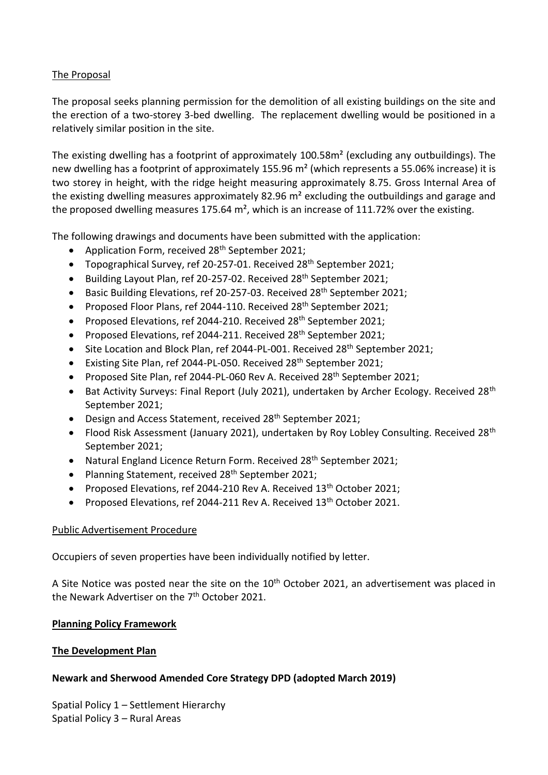## The Proposal

The proposal seeks planning permission for the demolition of all existing buildings on the site and the erection of a two-storey 3-bed dwelling. The replacement dwelling would be positioned in a relatively similar position in the site.

The existing dwelling has a footprint of approximately 100.58m² (excluding any outbuildings). The new dwelling has a footprint of approximately 155.96 m<sup>2</sup> (which represents a 55.06% increase) it is two storey in height, with the ridge height measuring approximately 8.75. Gross Internal Area of the existing dwelling measures approximately 82.96 m² excluding the outbuildings and garage and the proposed dwelling measures 175.64  $m<sup>2</sup>$ , which is an increase of 111.72% over the existing.

The following drawings and documents have been submitted with the application:

- Application Form, received 28<sup>th</sup> September 2021;
- Topographical Survey, ref 20-257-01. Received 28<sup>th</sup> September 2021;
- $\bullet$  Building Layout Plan, ref 20-257-02. Received 28<sup>th</sup> September 2021;
- Basic Building Elevations, ref 20-257-03. Received 28<sup>th</sup> September 2021;
- Proposed Floor Plans, ref 2044-110. Received 28<sup>th</sup> September 2021;
- Proposed Elevations, ref 2044-210. Received 28<sup>th</sup> September 2021;
- Proposed Elevations, ref 2044-211. Received  $28<sup>th</sup>$  September 2021;
- Site Location and Block Plan, ref 2044-PL-001. Received 28<sup>th</sup> September 2021;
- Existing Site Plan, ref 2044-PL-050. Received 28<sup>th</sup> September 2021;
- Proposed Site Plan, ref 2044-PL-060 Rev A. Received 28<sup>th</sup> September 2021;
- Bat Activity Surveys: Final Report (July 2021), undertaken by Archer Ecology. Received 28<sup>th</sup> September 2021;
- $\bullet$  Design and Access Statement, received 28<sup>th</sup> September 2021;
- Flood Risk Assessment (January 2021), undertaken by Roy Lobley Consulting. Received 28<sup>th</sup> September 2021;
- Natural England Licence Return Form. Received 28<sup>th</sup> September 2021;
- Planning Statement, received 28<sup>th</sup> September 2021;
- Proposed Elevations, ref 2044-210 Rev A. Received 13<sup>th</sup> October 2021;
- Proposed Elevations, ref 2044-211 Rev A. Received 13<sup>th</sup> October 2021.

# Public Advertisement Procedure

Occupiers of seven properties have been individually notified by letter.

A Site Notice was posted near the site on the 10<sup>th</sup> October 2021, an advertisement was placed in the Newark Advertiser on the 7<sup>th</sup> October 2021.

## **Planning Policy Framework**

# **The Development Plan**

# **Newark and Sherwood Amended Core Strategy DPD (adopted March 2019)**

Spatial Policy 1 – Settlement Hierarchy Spatial Policy 3 – Rural Areas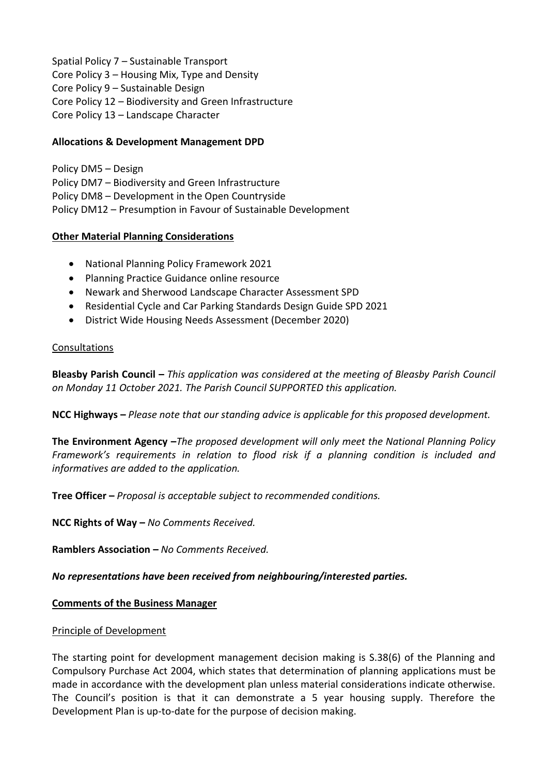Spatial Policy 7 – Sustainable Transport Core Policy 3 – Housing Mix, Type and Density Core Policy 9 – Sustainable Design

Core Policy 12 – Biodiversity and Green Infrastructure

Core Policy 13 – Landscape Character

## **Allocations & Development Management DPD**

Policy DM5 – Design Policy DM7 – Biodiversity and Green Infrastructure Policy DM8 – Development in the Open Countryside Policy DM12 – Presumption in Favour of Sustainable Development

## **Other Material Planning Considerations**

- National Planning Policy Framework 2021
- Planning Practice Guidance online resource
- Newark and Sherwood Landscape Character Assessment SPD
- Residential Cycle and Car Parking Standards Design Guide SPD 2021
- District Wide Housing Needs Assessment (December 2020)

## Consultations

**Bleasby Parish Council –** *This application was considered at the meeting of Bleasby Parish Council on Monday 11 October 2021. The Parish Council SUPPORTED this application.*

**NCC Highways –** *Please note that our standing advice is applicable for this proposed development.*

**The Environment Agency –***The proposed development will only meet the National Planning Policy Framework's requirements in relation to flood risk if a planning condition is included and informatives are added to the application.*

**Tree Officer –** *Proposal is acceptable subject to recommended conditions.*

**NCC Rights of Way –** *No Comments Received.*

**Ramblers Association –** *No Comments Received.*

*No representations have been received from neighbouring/interested parties.*

## **Comments of the Business Manager**

## Principle of Development

The starting point for development management decision making is S.38(6) of the Planning and Compulsory Purchase Act 2004, which states that determination of planning applications must be made in accordance with the development plan unless material considerations indicate otherwise. The Council's position is that it can demonstrate a 5 year housing supply. Therefore the Development Plan is up-to-date for the purpose of decision making.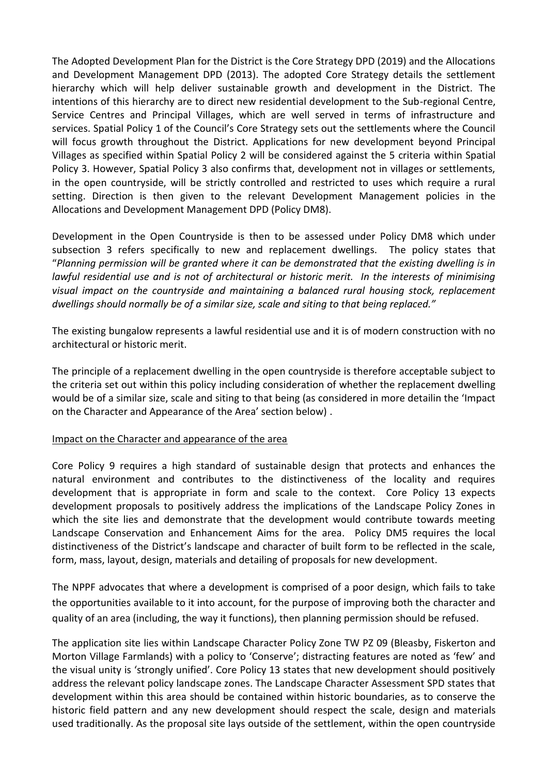The Adopted Development Plan for the District is the Core Strategy DPD (2019) and the Allocations and Development Management DPD (2013). The adopted Core Strategy details the settlement hierarchy which will help deliver sustainable growth and development in the District. The intentions of this hierarchy are to direct new residential development to the Sub-regional Centre, Service Centres and Principal Villages, which are well served in terms of infrastructure and services. Spatial Policy 1 of the Council's Core Strategy sets out the settlements where the Council will focus growth throughout the District. Applications for new development beyond Principal Villages as specified within Spatial Policy 2 will be considered against the 5 criteria within Spatial Policy 3. However, Spatial Policy 3 also confirms that, development not in villages or settlements, in the open countryside, will be strictly controlled and restricted to uses which require a rural setting. Direction is then given to the relevant Development Management policies in the Allocations and Development Management DPD (Policy DM8).

Development in the Open Countryside is then to be assessed under Policy DM8 which under subsection 3 refers specifically to new and replacement dwellings. The policy states that "*Planning permission will be granted where it can be demonstrated that the existing dwelling is in lawful residential use and is not of architectural or historic merit. In the interests of minimising visual impact on the countryside and maintaining a balanced rural housing stock, replacement dwellings should normally be of a similar size, scale and siting to that being replaced."*

The existing bungalow represents a lawful residential use and it is of modern construction with no architectural or historic merit.

The principle of a replacement dwelling in the open countryside is therefore acceptable subject to the criteria set out within this policy including consideration of whether the replacement dwelling would be of a similar size, scale and siting to that being (as considered in more detailin the 'Impact on the Character and Appearance of the Area' section below) .

## Impact on the Character and appearance of the area

Core Policy 9 requires a high standard of sustainable design that protects and enhances the natural environment and contributes to the distinctiveness of the locality and requires development that is appropriate in form and scale to the context. Core Policy 13 expects development proposals to positively address the implications of the Landscape Policy Zones in which the site lies and demonstrate that the development would contribute towards meeting Landscape Conservation and Enhancement Aims for the area. Policy DM5 requires the local distinctiveness of the District's landscape and character of built form to be reflected in the scale, form, mass, layout, design, materials and detailing of proposals for new development.

The NPPF advocates that where a development is comprised of a poor design, which fails to take the opportunities available to it into account, for the purpose of improving both the character and quality of an area (including, the way it functions), then planning permission should be refused.

The application site lies within Landscape Character Policy Zone TW PZ 09 (Bleasby, Fiskerton and Morton Village Farmlands) with a policy to 'Conserve'; distracting features are noted as 'few' and the visual unity is 'strongly unified'. Core Policy 13 states that new development should positively address the relevant policy landscape zones. The Landscape Character Assessment SPD states that development within this area should be contained within historic boundaries, as to conserve the historic field pattern and any new development should respect the scale, design and materials used traditionally. As the proposal site lays outside of the settlement, within the open countryside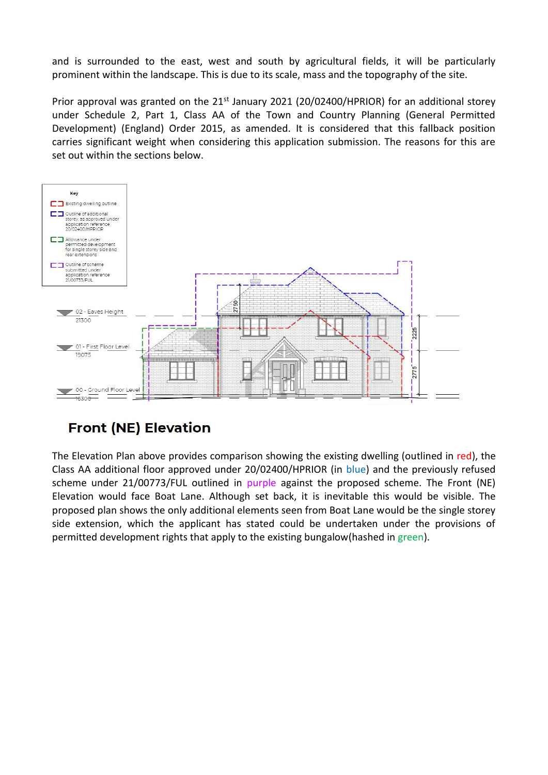and is surrounded to the east, west and south by agricultural fields, it will be particularly prominent within the landscape. This is due to its scale, mass and the topography of the site.

Prior approval was granted on the 21<sup>st</sup> January 2021 (20/02400/HPRIOR) for an additional storey under Schedule 2, Part 1, Class AA of the Town and Country Planning (General Permitted Development) (England) Order 2015, as amended. It is considered that this fallback position carries significant weight when considering this application submission. The reasons for this are set out within the sections below.



# **Front (NE) Elevation**

The Elevation Plan above provides comparison showing the existing dwelling (outlined in red), the Class AA additional floor approved under 20/02400/HPRIOR (in blue) and the previously refused scheme under 21/00773/FUL outlined in purple against the proposed scheme. The Front (NE) Elevation would face Boat Lane. Although set back, it is inevitable this would be visible. The proposed plan shows the only additional elements seen from Boat Lane would be the single storey side extension, which the applicant has stated could be undertaken under the provisions of permitted development rights that apply to the existing bungalow(hashed in green).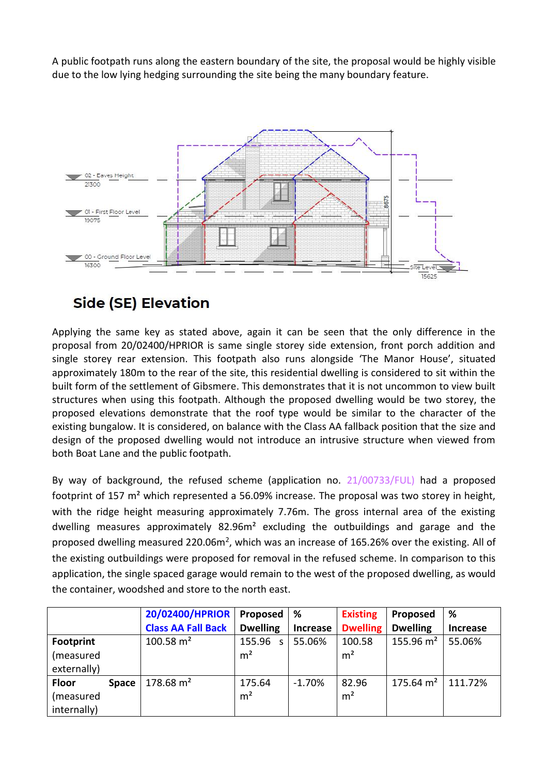A public footpath runs along the eastern boundary of the site, the proposal would be highly visible due to the low lying hedging surrounding the site being the many boundary feature.



# **Side (SE) Elevation**

Applying the same key as stated above, again it can be seen that the only difference in the proposal from 20/02400/HPRIOR is same single storey side extension, front porch addition and single storey rear extension. This footpath also runs alongside 'The Manor House', situated approximately 180m to the rear of the site, this residential dwelling is considered to sit within the built form of the settlement of Gibsmere. This demonstrates that it is not uncommon to view built structures when using this footpath. Although the proposed dwelling would be two storey, the proposed elevations demonstrate that the roof type would be similar to the character of the existing bungalow. It is considered, on balance with the Class AA fallback position that the size and design of the proposed dwelling would not introduce an intrusive structure when viewed from both Boat Lane and the public footpath.

By way of background, the refused scheme (application no.  $21/00733/FUL$ ) had a proposed footprint of 157 m² which represented a 56.09% increase. The proposal was two storey in height, with the ridge height measuring approximately 7.76m. The gross internal area of the existing dwelling measures approximately 82.96m² excluding the outbuildings and garage and the proposed dwelling measured 220.06m<sup>2</sup>, which was an increase of 165.26% over the existing. All of the existing outbuildings were proposed for removal in the refused scheme. In comparison to this application, the single spaced garage would remain to the west of the proposed dwelling, as would the container, woodshed and store to the north east.

|                  |              | 20/02400/HPRIOR           | Proposed        | ℅               | <b>Existing</b> | Proposed        | %               |
|------------------|--------------|---------------------------|-----------------|-----------------|-----------------|-----------------|-----------------|
|                  |              | <b>Class AA Fall Back</b> | <b>Dwelling</b> | <b>Increase</b> | <b>Dwelling</b> | <b>Dwelling</b> | <b>Increase</b> |
| <b>Footprint</b> |              | $100.58 \text{ m}^2$      | 155.96<br>S     | 55.06%          | 100.58          | 155.96 $m2$     | 55.06%          |
| (measured        |              |                           | m <sup>2</sup>  |                 | m <sup>2</sup>  |                 |                 |
| externally)      |              |                           |                 |                 |                 |                 |                 |
| <b>Floor</b>     | <b>Space</b> | $178.68 \text{ m}^2$      | 175.64          | $-1.70\%$       | 82.96           | 175.64 $m2$     | 111.72%         |
| (measured        |              |                           | m <sup>2</sup>  |                 | m <sup>2</sup>  |                 |                 |
| internally)      |              |                           |                 |                 |                 |                 |                 |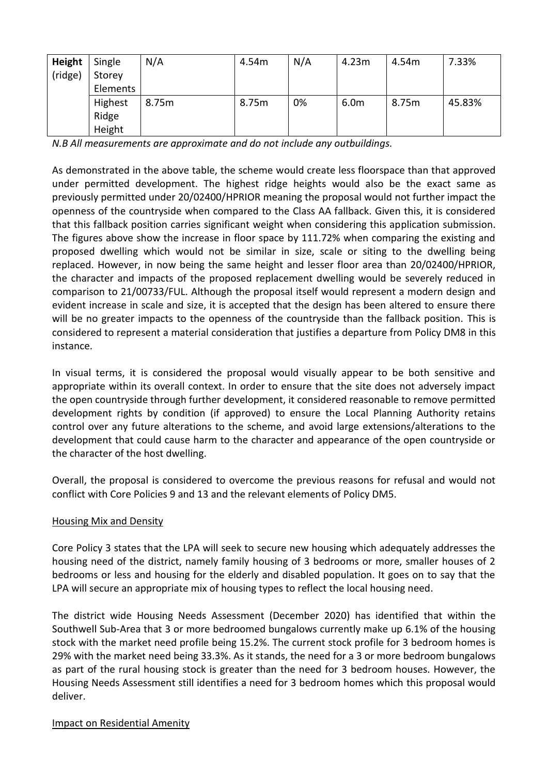| Height  | Single   | N/A   | 4.54m | N/A | 4.23m            | 4.54m | 7.33%  |
|---------|----------|-------|-------|-----|------------------|-------|--------|
| (ridge) | Storey   |       |       |     |                  |       |        |
|         | Elements |       |       |     |                  |       |        |
|         | Highest  | 8.75m | 8.75m | 0%  | 6.0 <sub>m</sub> | 8.75m | 45.83% |
|         | Ridge    |       |       |     |                  |       |        |
|         | Height   |       |       |     |                  |       |        |

*N.B All measurements are approximate and do not include any outbuildings.*

As demonstrated in the above table, the scheme would create less floorspace than that approved under permitted development. The highest ridge heights would also be the exact same as previously permitted under 20/02400/HPRIOR meaning the proposal would not further impact the openness of the countryside when compared to the Class AA fallback. Given this, it is considered that this fallback position carries significant weight when considering this application submission. The figures above show the increase in floor space by 111.72% when comparing the existing and proposed dwelling which would not be similar in size, scale or siting to the dwelling being replaced. However, in now being the same height and lesser floor area than 20/02400/HPRIOR, the character and impacts of the proposed replacement dwelling would be severely reduced in comparison to 21/00733/FUL. Although the proposal itself would represent a modern design and evident increase in scale and size, it is accepted that the design has been altered to ensure there will be no greater impacts to the openness of the countryside than the fallback position. This is considered to represent a material consideration that justifies a departure from Policy DM8 in this instance.

In visual terms, it is considered the proposal would visually appear to be both sensitive and appropriate within its overall context. In order to ensure that the site does not adversely impact the open countryside through further development, it considered reasonable to remove permitted development rights by condition (if approved) to ensure the Local Planning Authority retains control over any future alterations to the scheme, and avoid large extensions/alterations to the development that could cause harm to the character and appearance of the open countryside or the character of the host dwelling.

Overall, the proposal is considered to overcome the previous reasons for refusal and would not conflict with Core Policies 9 and 13 and the relevant elements of Policy DM5.

## Housing Mix and Density

Core Policy 3 states that the LPA will seek to secure new housing which adequately addresses the housing need of the district, namely family housing of 3 bedrooms or more, smaller houses of 2 bedrooms or less and housing for the elderly and disabled population. It goes on to say that the LPA will secure an appropriate mix of housing types to reflect the local housing need.

The district wide Housing Needs Assessment (December 2020) has identified that within the Southwell Sub-Area that 3 or more bedroomed bungalows currently make up 6.1% of the housing stock with the market need profile being 15.2%. The current stock profile for 3 bedroom homes is 29% with the market need being 33.3%. As it stands, the need for a 3 or more bedroom bungalows as part of the rural housing stock is greater than the need for 3 bedroom houses. However, the Housing Needs Assessment still identifies a need for 3 bedroom homes which this proposal would deliver.

## Impact on Residential Amenity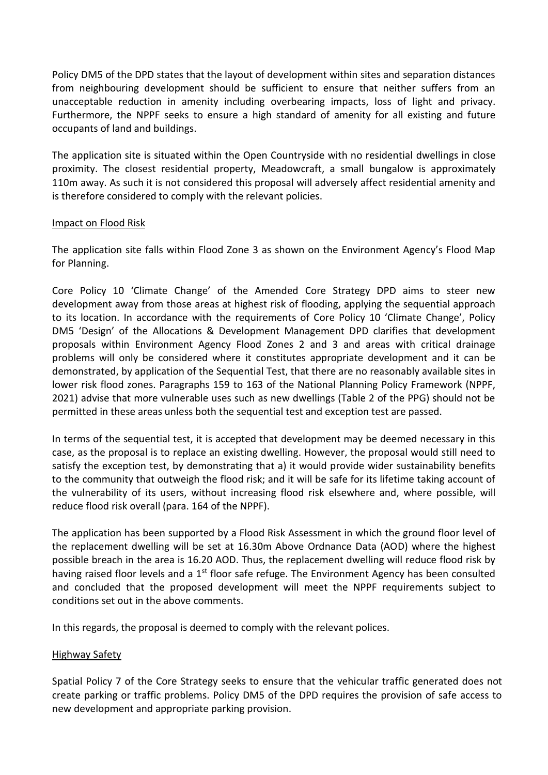Policy DM5 of the DPD states that the layout of development within sites and separation distances from neighbouring development should be sufficient to ensure that neither suffers from an unacceptable reduction in amenity including overbearing impacts, loss of light and privacy. Furthermore, the NPPF seeks to ensure a high standard of amenity for all existing and future occupants of land and buildings.

The application site is situated within the Open Countryside with no residential dwellings in close proximity. The closest residential property, Meadowcraft, a small bungalow is approximately 110m away. As such it is not considered this proposal will adversely affect residential amenity and is therefore considered to comply with the relevant policies.

## Impact on Flood Risk

The application site falls within Flood Zone 3 as shown on the Environment Agency's Flood Map for Planning.

Core Policy 10 'Climate Change' of the Amended Core Strategy DPD aims to steer new development away from those areas at highest risk of flooding, applying the sequential approach to its location. In accordance with the requirements of Core Policy 10 'Climate Change', Policy DM5 'Design' of the Allocations & Development Management DPD clarifies that development proposals within Environment Agency Flood Zones 2 and 3 and areas with critical drainage problems will only be considered where it constitutes appropriate development and it can be demonstrated, by application of the Sequential Test, that there are no reasonably available sites in lower risk flood zones. Paragraphs 159 to 163 of the National Planning Policy Framework (NPPF, 2021) advise that more vulnerable uses such as new dwellings (Table 2 of the PPG) should not be permitted in these areas unless both the sequential test and exception test are passed.

In terms of the sequential test, it is accepted that development may be deemed necessary in this case, as the proposal is to replace an existing dwelling. However, the proposal would still need to satisfy the exception test, by demonstrating that a) it would provide wider sustainability benefits to the community that outweigh the flood risk; and it will be safe for its lifetime taking account of the vulnerability of its users, without increasing flood risk elsewhere and, where possible, will reduce flood risk overall (para. 164 of the NPPF).

The application has been supported by a Flood Risk Assessment in which the ground floor level of the replacement dwelling will be set at 16.30m Above Ordnance Data (AOD) where the highest possible breach in the area is 16.20 AOD. Thus, the replacement dwelling will reduce flood risk by having raised floor levels and a  $1<sup>st</sup>$  floor safe refuge. The Environment Agency has been consulted and concluded that the proposed development will meet the NPPF requirements subject to conditions set out in the above comments.

In this regards, the proposal is deemed to comply with the relevant polices.

## Highway Safety

Spatial Policy 7 of the Core Strategy seeks to ensure that the vehicular traffic generated does not create parking or traffic problems. Policy DM5 of the DPD requires the provision of safe access to new development and appropriate parking provision.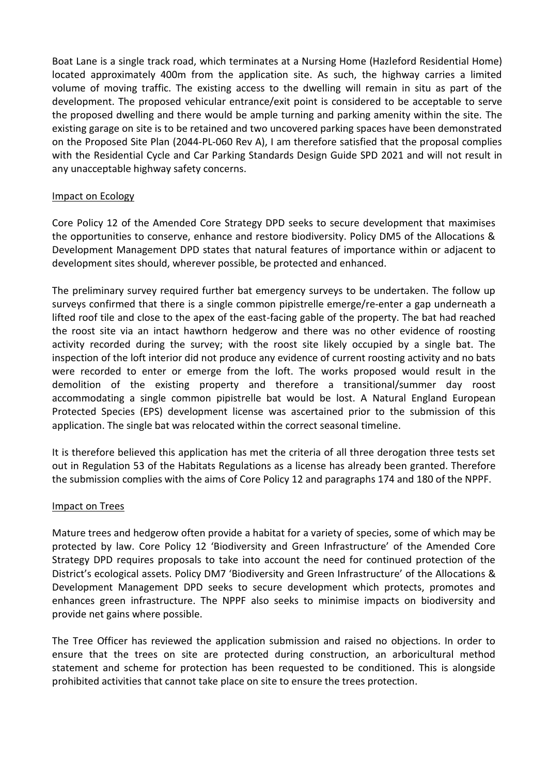Boat Lane is a single track road, which terminates at a Nursing Home (Hazleford Residential Home) located approximately 400m from the application site. As such, the highway carries a limited volume of moving traffic. The existing access to the dwelling will remain in situ as part of the development. The proposed vehicular entrance/exit point is considered to be acceptable to serve the proposed dwelling and there would be ample turning and parking amenity within the site. The existing garage on site is to be retained and two uncovered parking spaces have been demonstrated on the Proposed Site Plan (2044-PL-060 Rev A), I am therefore satisfied that the proposal complies with the Residential Cycle and Car Parking Standards Design Guide SPD 2021 and will not result in any unacceptable highway safety concerns.

#### Impact on Ecology

Core Policy 12 of the Amended Core Strategy DPD seeks to secure development that maximises the opportunities to conserve, enhance and restore biodiversity. Policy DM5 of the Allocations & Development Management DPD states that natural features of importance within or adjacent to development sites should, wherever possible, be protected and enhanced.

The preliminary survey required further bat emergency surveys to be undertaken. The follow up surveys confirmed that there is a single common pipistrelle emerge/re-enter a gap underneath a lifted roof tile and close to the apex of the east-facing gable of the property. The bat had reached the roost site via an intact hawthorn hedgerow and there was no other evidence of roosting activity recorded during the survey; with the roost site likely occupied by a single bat. The inspection of the loft interior did not produce any evidence of current roosting activity and no bats were recorded to enter or emerge from the loft. The works proposed would result in the demolition of the existing property and therefore a transitional/summer day roost accommodating a single common pipistrelle bat would be lost. A Natural England European Protected Species (EPS) development license was ascertained prior to the submission of this application. The single bat was relocated within the correct seasonal timeline.

It is therefore believed this application has met the criteria of all three derogation three tests set out in Regulation 53 of the Habitats Regulations as a license has already been granted. Therefore the submission complies with the aims of Core Policy 12 and paragraphs 174 and 180 of the NPPF.

#### Impact on Trees

Mature trees and hedgerow often provide a habitat for a variety of species, some of which may be protected by law. Core Policy 12 'Biodiversity and Green Infrastructure' of the Amended Core Strategy DPD requires proposals to take into account the need for continued protection of the District's ecological assets. Policy DM7 'Biodiversity and Green Infrastructure' of the Allocations & Development Management DPD seeks to secure development which protects, promotes and enhances green infrastructure. The NPPF also seeks to minimise impacts on biodiversity and provide net gains where possible.

The Tree Officer has reviewed the application submission and raised no objections. In order to ensure that the trees on site are protected during construction, an arboricultural method statement and scheme for protection has been requested to be conditioned. This is alongside prohibited activities that cannot take place on site to ensure the trees protection.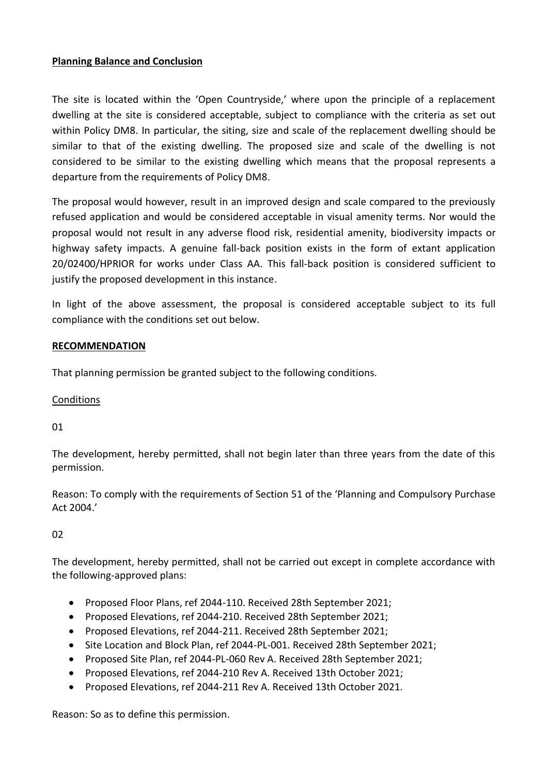## **Planning Balance and Conclusion**

The site is located within the 'Open Countryside,' where upon the principle of a replacement dwelling at the site is considered acceptable, subject to compliance with the criteria as set out within Policy DM8. In particular, the siting, size and scale of the replacement dwelling should be similar to that of the existing dwelling. The proposed size and scale of the dwelling is not considered to be similar to the existing dwelling which means that the proposal represents a departure from the requirements of Policy DM8.

The proposal would however, result in an improved design and scale compared to the previously refused application and would be considered acceptable in visual amenity terms. Nor would the proposal would not result in any adverse flood risk, residential amenity, biodiversity impacts or highway safety impacts. A genuine fall-back position exists in the form of extant application 20/02400/HPRIOR for works under Class AA. This fall-back position is considered sufficient to justify the proposed development in this instance.

In light of the above assessment, the proposal is considered acceptable subject to its full compliance with the conditions set out below.

## **RECOMMENDATION**

That planning permission be granted subject to the following conditions.

## Conditions

## 01

The development, hereby permitted, shall not begin later than three years from the date of this permission.

Reason: To comply with the requirements of Section 51 of the 'Planning and Compulsory Purchase Act 2004.'

## 02

The development, hereby permitted, shall not be carried out except in complete accordance with the following-approved plans:

- Proposed Floor Plans, ref 2044-110. Received 28th September 2021;
- Proposed Elevations, ref 2044-210. Received 28th September 2021;
- Proposed Elevations, ref 2044-211. Received 28th September 2021;
- Site Location and Block Plan, ref 2044-PL-001. Received 28th September 2021;
- Proposed Site Plan, ref 2044-PL-060 Rev A. Received 28th September 2021;
- Proposed Elevations, ref 2044-210 Rev A. Received 13th October 2021;
- Proposed Elevations, ref 2044-211 Rev A. Received 13th October 2021.

Reason: So as to define this permission.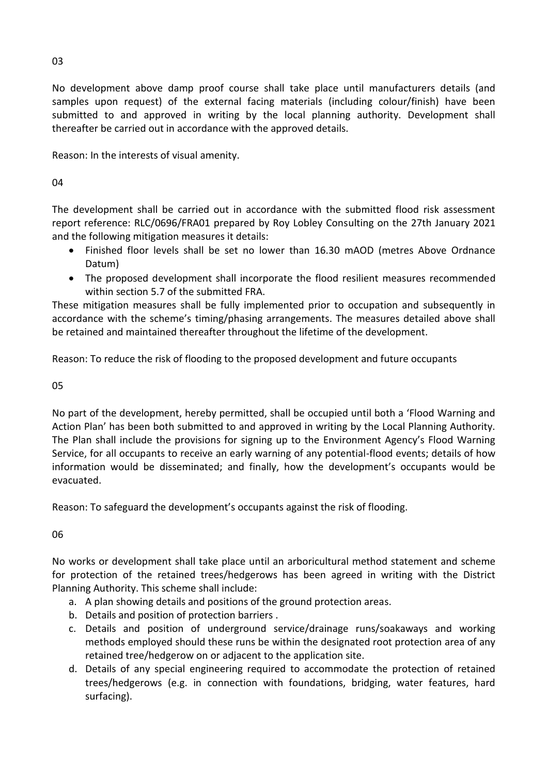No development above damp proof course shall take place until manufacturers details (and samples upon request) of the external facing materials (including colour/finish) have been submitted to and approved in writing by the local planning authority. Development shall thereafter be carried out in accordance with the approved details.

Reason: In the interests of visual amenity.

04

The development shall be carried out in accordance with the submitted flood risk assessment report reference: RLC/0696/FRA01 prepared by Roy Lobley Consulting on the 27th January 2021 and the following mitigation measures it details:

- Finished floor levels shall be set no lower than 16.30 mAOD (metres Above Ordnance Datum)
- The proposed development shall incorporate the flood resilient measures recommended within section 5.7 of the submitted FRA.

These mitigation measures shall be fully implemented prior to occupation and subsequently in accordance with the scheme's timing/phasing arrangements. The measures detailed above shall be retained and maintained thereafter throughout the lifetime of the development.

Reason: To reduce the risk of flooding to the proposed development and future occupants

05

No part of the development, hereby permitted, shall be occupied until both a 'Flood Warning and Action Plan' has been both submitted to and approved in writing by the Local Planning Authority. The Plan shall include the provisions for signing up to the Environment Agency's Flood Warning Service, for all occupants to receive an early warning of any potential-flood events; details of how information would be disseminated; and finally, how the development's occupants would be evacuated.

Reason: To safeguard the development's occupants against the risk of flooding.

06

No works or development shall take place until an arboricultural method statement and scheme for protection of the retained trees/hedgerows has been agreed in writing with the District Planning Authority. This scheme shall include:

- a. A plan showing details and positions of the ground protection areas.
- b. Details and position of protection barriers .
- c. Details and position of underground service/drainage runs/soakaways and working methods employed should these runs be within the designated root protection area of any retained tree/hedgerow on or adjacent to the application site.
- d. Details of any special engineering required to accommodate the protection of retained trees/hedgerows (e.g. in connection with foundations, bridging, water features, hard surfacing).

03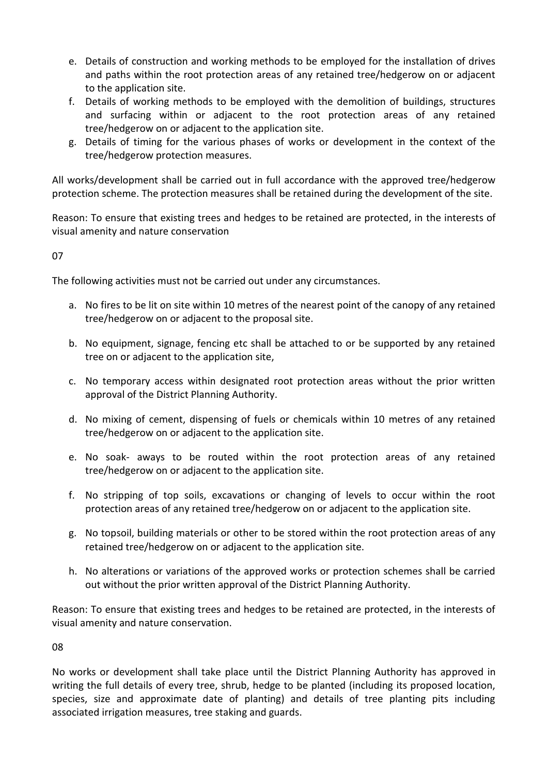- e. Details of construction and working methods to be employed for the installation of drives and paths within the root protection areas of any retained tree/hedgerow on or adjacent to the application site.
- f. Details of working methods to be employed with the demolition of buildings, structures and surfacing within or adjacent to the root protection areas of any retained tree/hedgerow on or adjacent to the application site.
- g. Details of timing for the various phases of works or development in the context of the tree/hedgerow protection measures.

All works/development shall be carried out in full accordance with the approved tree/hedgerow protection scheme. The protection measures shall be retained during the development of the site.

Reason: To ensure that existing trees and hedges to be retained are protected, in the interests of visual amenity and nature conservation

07

The following activities must not be carried out under any circumstances.

- a. No fires to be lit on site within 10 metres of the nearest point of the canopy of any retained tree/hedgerow on or adjacent to the proposal site.
- b. No equipment, signage, fencing etc shall be attached to or be supported by any retained tree on or adjacent to the application site,
- c. No temporary access within designated root protection areas without the prior written approval of the District Planning Authority.
- d. No mixing of cement, dispensing of fuels or chemicals within 10 metres of any retained tree/hedgerow on or adjacent to the application site.
- e. No soak- aways to be routed within the root protection areas of any retained tree/hedgerow on or adjacent to the application site.
- f. No stripping of top soils, excavations or changing of levels to occur within the root protection areas of any retained tree/hedgerow on or adjacent to the application site.
- g. No topsoil, building materials or other to be stored within the root protection areas of any retained tree/hedgerow on or adjacent to the application site.
- h. No alterations or variations of the approved works or protection schemes shall be carried out without the prior written approval of the District Planning Authority.

Reason: To ensure that existing trees and hedges to be retained are protected, in the interests of visual amenity and nature conservation.

08

No works or development shall take place until the District Planning Authority has approved in writing the full details of every tree, shrub, hedge to be planted (including its proposed location, species, size and approximate date of planting) and details of tree planting pits including associated irrigation measures, tree staking and guards.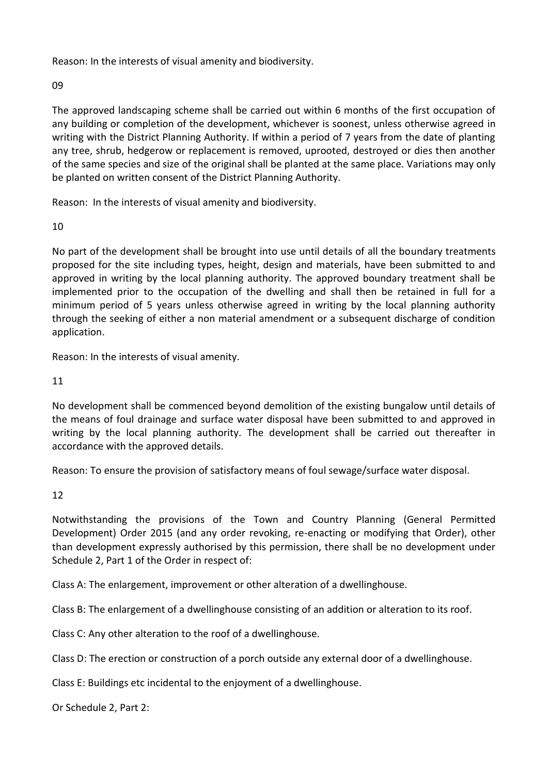Reason: In the interests of visual amenity and biodiversity.

09

The approved landscaping scheme shall be carried out within 6 months of the first occupation of any building or completion of the development, whichever is soonest, unless otherwise agreed in writing with the District Planning Authority. If within a period of 7 years from the date of planting any tree, shrub, hedgerow or replacement is removed, uprooted, destroyed or dies then another of the same species and size of the original shall be planted at the same place. Variations may only be planted on written consent of the District Planning Authority.

Reason: In the interests of visual amenity and biodiversity.

10

No part of the development shall be brought into use until details of all the boundary treatments proposed for the site including types, height, design and materials, have been submitted to and approved in writing by the local planning authority. The approved boundary treatment shall be implemented prior to the occupation of the dwelling and shall then be retained in full for a minimum period of 5 years unless otherwise agreed in writing by the local planning authority through the seeking of either a non material amendment or a subsequent discharge of condition application.

Reason: In the interests of visual amenity.

11

No development shall be commenced beyond demolition of the existing bungalow until details of the means of foul drainage and surface water disposal have been submitted to and approved in writing by the local planning authority. The development shall be carried out thereafter in accordance with the approved details.

Reason: To ensure the provision of satisfactory means of foul sewage/surface water disposal.

12

Notwithstanding the provisions of the Town and Country Planning (General Permitted Development) Order 2015 (and any order revoking, re-enacting or modifying that Order), other than development expressly authorised by this permission, there shall be no development under Schedule 2, Part 1 of the Order in respect of:

Class A: The enlargement, improvement or other alteration of a dwellinghouse.

Class B: The enlargement of a dwellinghouse consisting of an addition or alteration to its roof.

Class C: Any other alteration to the roof of a dwellinghouse.

Class D: The erection or construction of a porch outside any external door of a dwellinghouse.

Class E: Buildings etc incidental to the enjoyment of a dwellinghouse.

Or Schedule 2, Part 2: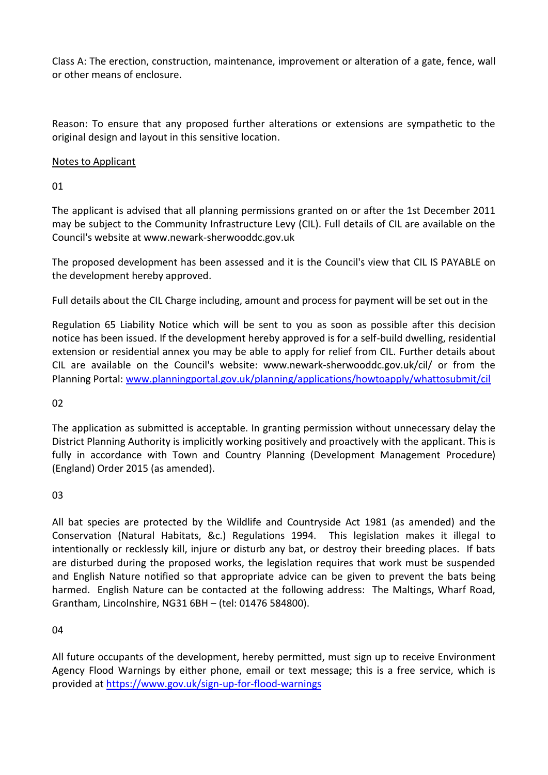Class A: The erection, construction, maintenance, improvement or alteration of a gate, fence, wall or other means of enclosure.

Reason: To ensure that any proposed further alterations or extensions are sympathetic to the original design and layout in this sensitive location.

## Notes to Applicant

01

The applicant is advised that all planning permissions granted on or after the 1st December 2011 may be subject to the Community Infrastructure Levy (CIL). Full details of CIL are available on the Council's website at www.newark-sherwooddc.gov.uk

The proposed development has been assessed and it is the Council's view that CIL IS PAYABLE on the development hereby approved.

Full details about the CIL Charge including, amount and process for payment will be set out in the

Regulation 65 Liability Notice which will be sent to you as soon as possible after this decision notice has been issued. If the development hereby approved is for a self-build dwelling, residential extension or residential annex you may be able to apply for relief from CIL. Further details about CIL are available on the Council's website: www.newark-sherwooddc.gov.uk/cil/ or from the Planning Portal: [www.planningportal.gov.uk/planning/applications/howtoapply/whattosubmit/cil](http://www.planningportal.gov.uk/planning/applications/howtoapply/whattosubmit/cil)

02

The application as submitted is acceptable. In granting permission without unnecessary delay the District Planning Authority is implicitly working positively and proactively with the applicant. This is fully in accordance with Town and Country Planning (Development Management Procedure) (England) Order 2015 (as amended).

03

All bat species are protected by the Wildlife and Countryside Act 1981 (as amended) and the Conservation (Natural Habitats, &c.) Regulations 1994. This legislation makes it illegal to intentionally or recklessly kill, injure or disturb any bat, or destroy their breeding places. If bats are disturbed during the proposed works, the legislation requires that work must be suspended and English Nature notified so that appropriate advice can be given to prevent the bats being harmed. English Nature can be contacted at the following address: The Maltings, Wharf Road, Grantham, Lincolnshire, NG31 6BH – (tel: 01476 584800).

04

All future occupants of the development, hereby permitted, must sign up to receive Environment Agency Flood Warnings by either phone, email or text message; this is a free service, which is provided at<https://www.gov.uk/sign-up-for-flood-warnings>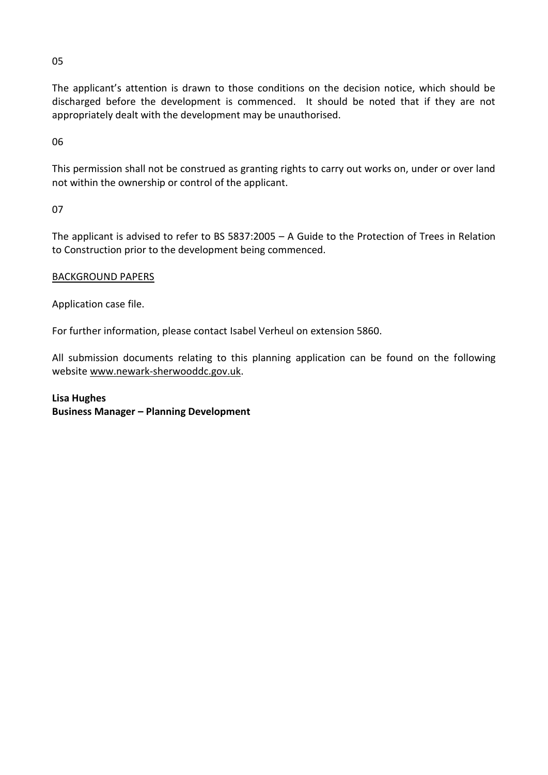05

The applicant's attention is drawn to those conditions on the decision notice, which should be discharged before the development is commenced. It should be noted that if they are not appropriately dealt with the development may be unauthorised.

06

This permission shall not be construed as granting rights to carry out works on, under or over land not within the ownership or control of the applicant.

07

The applicant is advised to refer to BS 5837:2005 – A Guide to the Protection of Trees in Relation to Construction prior to the development being commenced.

## BACKGROUND PAPERS

Application case file.

For further information, please contact Isabel Verheul on extension 5860.

All submission documents relating to this planning application can be found on the following websit[e www.newark-sherwooddc.gov.uk.](http://www.newark-sherwooddc.gov.uk/)

## **Lisa Hughes Business Manager – Planning Development**